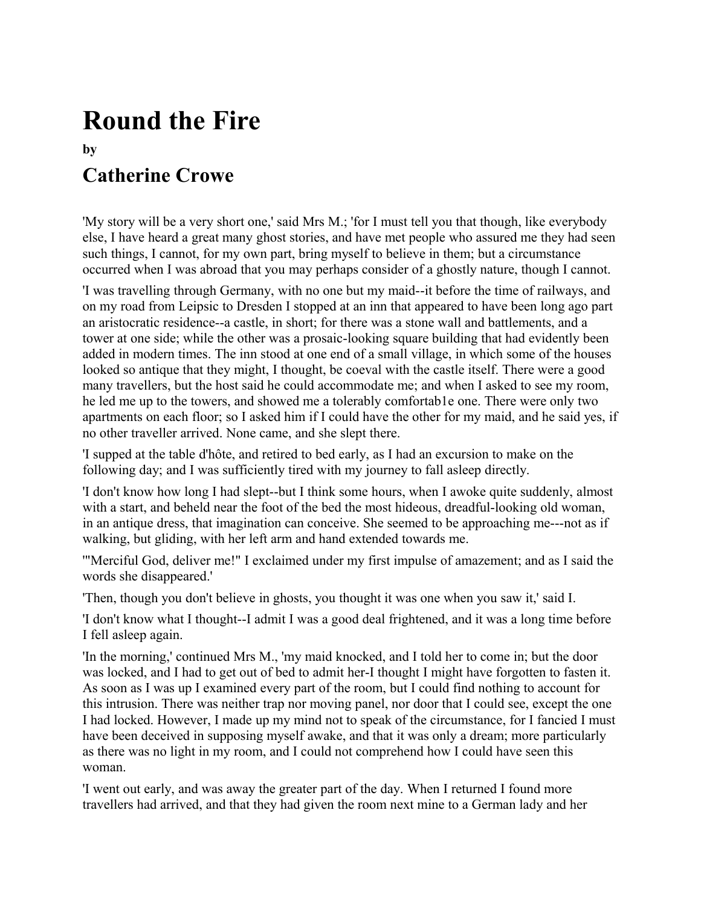## **Round the Fire**

## **by**

## **Catherine Crowe**

'My story will be a very short one,' said Mrs M.; 'for I must tell you that though, like everybody else, I have heard a great many ghost stories, and have met people who assured me they had seen such things, I cannot, for my own part, bring myself to believe in them; but a circumstance occurred when I was abroad that you may perhaps consider of a ghostly nature, though I cannot.

'I was travelling through Germany, with no one but my maid--it before the time of railways, and on my road from Leipsic to Dresden I stopped at an inn that appeared to have been long ago part an aristocratic residence--a castle, in short; for there was a stone wall and battlements, and a tower at one side; while the other was a prosaic-looking square building that had evidently been added in modern times. The inn stood at one end of a small village, in which some of the houses looked so antique that they might, I thought, be coeval with the castle itself. There were a good many travellers, but the host said he could accommodate me; and when I asked to see my room, he led me up to the towers, and showed me a tolerably comfortab1e one. There were only two apartments on each floor; so I asked him if I could have the other for my maid, and he said yes, if no other traveller arrived. None came, and she slept there.

'I supped at the table d'hôte, and retired to bed early, as I had an excursion to make on the following day; and I was sufficiently tired with my journey to fall asleep directly.

'I don't know how long I had slept--but I think some hours, when I awoke quite suddenly, almost with a start, and beheld near the foot of the bed the most hideous, dreadful-looking old woman, in an antique dress, that imagination can conceive. She seemed to be approaching me---not as if walking, but gliding, with her left arm and hand extended towards me.

'"Merciful God, deliver me!" I exclaimed under my first impulse of amazement; and as I said the words she disappeared.'

'Then, though you don't believe in ghosts, you thought it was one when you saw it,' said I.

'I don't know what I thought--I admit I was a good deal frightened, and it was a long time before I fell asleep again.

'In the morning,' continued Mrs M., 'my maid knocked, and I told her to come in; but the door was locked, and I had to get out of bed to admit her-I thought I might have forgotten to fasten it. As soon as I was up I examined every part of the room, but I could find nothing to account for this intrusion. There was neither trap nor moving panel, nor door that I could see, except the one I had locked. However, I made up my mind not to speak of the circumstance, for I fancied I must have been deceived in supposing myself awake, and that it was only a dream; more particularly as there was no light in my room, and I could not comprehend how I could have seen this woman.

'I went out early, and was away the greater part of the day. When I returned I found more travellers had arrived, and that they had given the room next mine to a German lady and her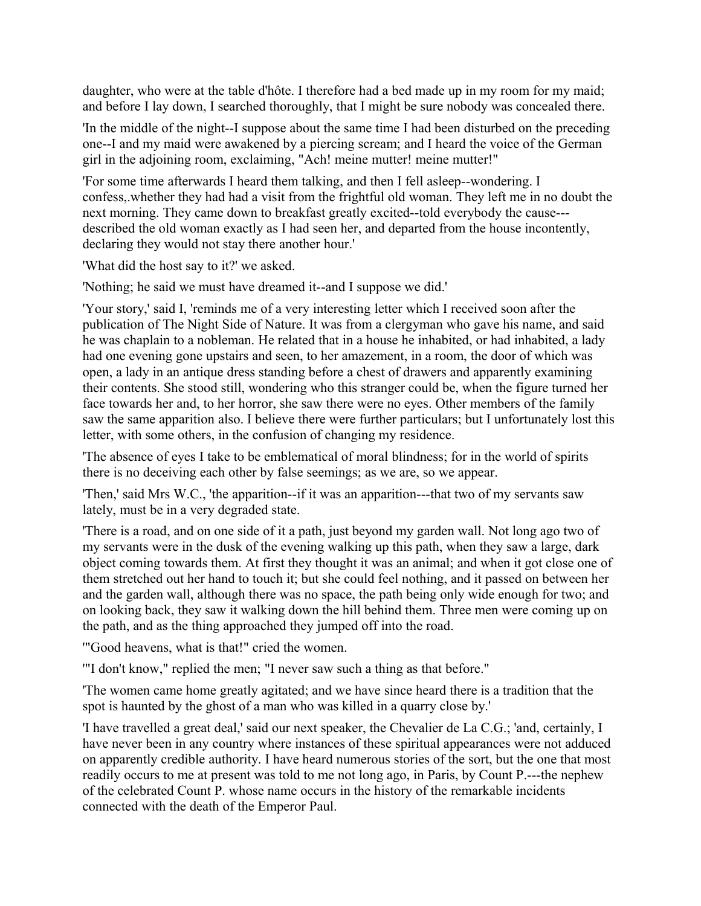daughter, who were at the table d'hôte. I therefore had a bed made up in my room for my maid; and before I lay down, I searched thoroughly, that I might be sure nobody was concealed there.

'In the middle of the night--I suppose about the same time I had been disturbed on the preceding one--I and my maid were awakened by a piercing scream; and I heard the voice of the German girl in the adjoining room, exclaiming, "Ach! meine mutter! meine mutter!"

'For some time afterwards I heard them talking, and then I fell asleep--wondering. I confess,.whether they had had a visit from the frightful old woman. They left me in no doubt the next morning. They came down to breakfast greatly excited--told everybody the cause-- described the old woman exactly as I had seen her, and departed from the house incontently, declaring they would not stay there another hour.'

'What did the host say to it?' we asked.

'Nothing; he said we must have dreamed it--and I suppose we did.'

'Your story,' said I, 'reminds me of a very interesting letter which I received soon after the publication of The Night Side of Nature. It was from a clergyman who gave his name, and said he was chaplain to a nobleman. He related that in a house he inhabited, or had inhabited, a lady had one evening gone upstairs and seen, to her amazement, in a room, the door of which was open, a lady in an antique dress standing before a chest of drawers and apparently examining their contents. She stood still, wondering who this stranger could be, when the figure turned her face towards her and, to her horror, she saw there were no eyes. Other members of the family saw the same apparition also. I believe there were further particulars; but I unfortunately lost this letter, with some others, in the confusion of changing my residence.

'The absence of eyes I take to be emblematical of moral blindness; for in the world of spirits there is no deceiving each other by false seemings; as we are, so we appear.

'Then,' said Mrs W.C., 'the apparition--if it was an apparition---that two of my servants saw lately, must be in a very degraded state.

'There is a road, and on one side of it a path, just beyond my garden wall. Not long ago two of my servants were in the dusk of the evening walking up this path, when they saw a large, dark object coming towards them. At first they thought it was an animal; and when it got close one of them stretched out her hand to touch it; but she could feel nothing, and it passed on between her and the garden wall, although there was no space, the path being only wide enough for two; and on looking back, they saw it walking down the hill behind them. Three men were coming up on the path, and as the thing approached they jumped off into the road.

'"Good heavens, what is that!" cried the women.

'"I don't know," replied the men; "I never saw such a thing as that before."

'The women came home greatly agitated; and we have since heard there is a tradition that the spot is haunted by the ghost of a man who was killed in a quarry close by.'

'I have travelled a great deal,' said our next speaker, the Chevalier de La C.G.; 'and, certainly, I have never been in any country where instances of these spiritual appearances were not adduced on apparently credible authority. I have heard numerous stories of the sort, but the one that most readily occurs to me at present was told to me not long ago, in Paris, by Count P.---the nephew of the celebrated Count P. whose name occurs in the history of the remarkable incidents connected with the death of the Emperor Paul.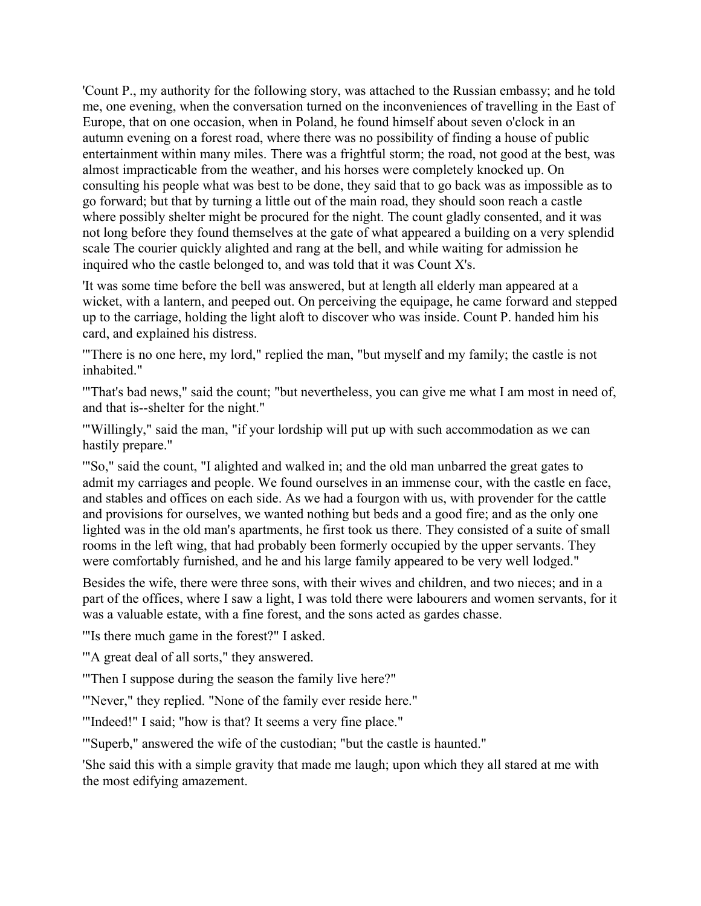'Count P., my authority for the following story, was attached to the Russian embassy; and he told me, one evening, when the conversation turned on the inconveniences of travelling in the East of Europe, that on one occasion, when in Poland, he found himself about seven o'clock in an autumn evening on a forest road, where there was no possibility of finding a house of public entertainment within many miles. There was a frightful storm; the road, not good at the best, was almost impracticable from the weather, and his horses were completely knocked up. On consulting his people what was best to be done, they said that to go back was as impossible as to go forward; but that by turning a little out of the main road, they should soon reach a castle where possibly shelter might be procured for the night. The count gladly consented, and it was not long before they found themselves at the gate of what appeared a building on a very splendid scale The courier quickly alighted and rang at the bell, and while waiting for admission he inquired who the castle belonged to, and was told that it was Count X's.

'It was some time before the bell was answered, but at length all elderly man appeared at a wicket, with a lantern, and peeped out. On perceiving the equipage, he came forward and stepped up to the carriage, holding the light aloft to discover who was inside. Count P. handed him his card, and explained his distress.

'"There is no one here, my lord," replied the man, "but myself and my family; the castle is not inhabited."

'"That's bad news," said the count; "but nevertheless, you can give me what I am most in need of, and that is--shelter for the night."

'"Willingly," said the man, "if your lordship will put up with such accommodation as we can hastily prepare."

'"So," said the count, "I alighted and walked in; and the old man unbarred the great gates to admit my carriages and people. We found ourselves in an immense cour, with the castle en face, and stables and offices on each side. As we had a fourgon with us, with provender for the cattle and provisions for ourselves, we wanted nothing but beds and a good fire; and as the only one lighted was in the old man's apartments, he first took us there. They consisted of a suite of small rooms in the left wing, that had probably been formerly occupied by the upper servants. They were comfortably furnished, and he and his large family appeared to be very well lodged."

Besides the wife, there were three sons, with their wives and children, and two nieces; and in a part of the offices, where I saw a light, I was told there were labourers and women servants, for it was a valuable estate, with a fine forest, and the sons acted as gardes chasse.

'"Is there much game in the forest?" I asked.

'"A great deal of all sorts," they answered.

'"Then I suppose during the season the family live here?"

'"Never," they replied. "None of the family ever reside here."

'"Indeed!" I said; "how is that? It seems a very fine place."

'"Superb," answered the wife of the custodian; "but the castle is haunted."

'She said this with a simple gravity that made me laugh; upon which they all stared at me with the most edifying amazement.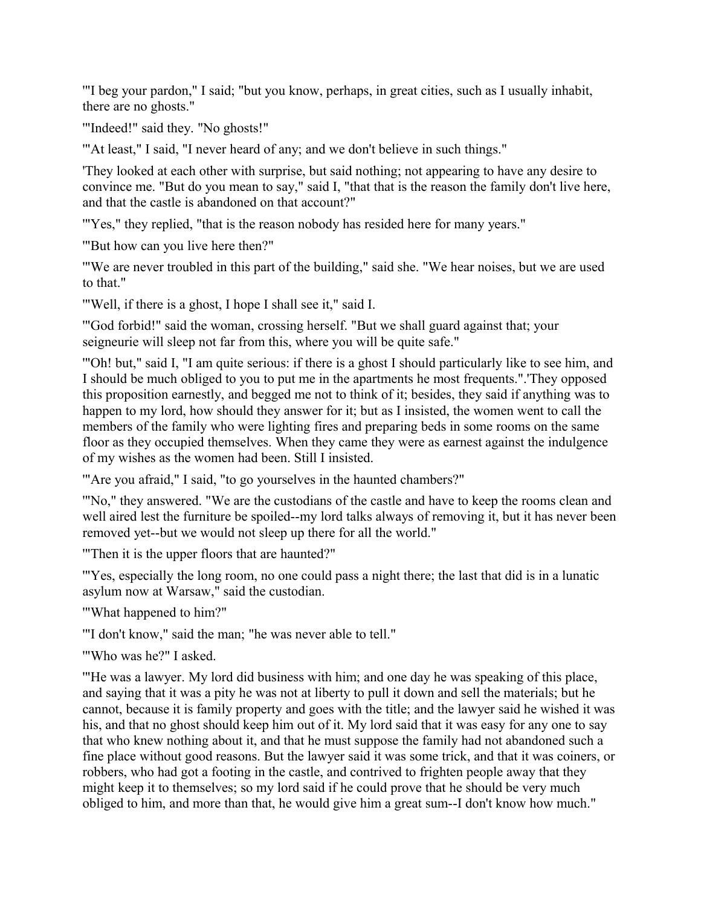'"I beg your pardon," I said; "but you know, perhaps, in great cities, such as I usually inhabit, there are no ghosts."

'"Indeed!" said they. "No ghosts!"

'"At least," I said, "I never heard of any; and we don't believe in such things."

'They looked at each other with surprise, but said nothing; not appearing to have any desire to convince me. "But do you mean to say," said I, "that that is the reason the family don't live here, and that the castle is abandoned on that account?"

'"Yes," they replied, "that is the reason nobody has resided here for many years."

'"But how can you live here then?"

'"We are never troubled in this part of the building," said she. "We hear noises, but we are used to that."

'"Well, if there is a ghost, I hope I shall see it," said I.

'"God forbid!" said the woman, crossing herself. "But we shall guard against that; your seigneurie will sleep not far from this, where you will be quite safe."

'"Oh! but," said I, "I am quite serious: if there is a ghost I should particularly like to see him, and I should be much obliged to you to put me in the apartments he most frequents.".'They opposed this proposition earnestly, and begged me not to think of it; besides, they said if anything was to happen to my lord, how should they answer for it; but as I insisted, the women went to call the members of the family who were lighting fires and preparing beds in some rooms on the same floor as they occupied themselves. When they came they were as earnest against the indulgence of my wishes as the women had been. Still I insisted.

'"Are you afraid," I said, "to go yourselves in the haunted chambers?"

'"No," they answered. "We are the custodians of the castle and have to keep the rooms clean and well aired lest the furniture be spoiled--my lord talks always of removing it, but it has never been removed yet--but we would not sleep up there for all the world."

'"Then it is the upper floors that are haunted?"

'"Yes, especially the long room, no one could pass a night there; the last that did is in a lunatic asylum now at Warsaw," said the custodian.

'"What happened to him?"

'"I don't know," said the man; "he was never able to tell."

'"Who was he?" I asked.

'"He was a lawyer. My lord did business with him; and one day he was speaking of this place, and saying that it was a pity he was not at liberty to pull it down and sell the materials; but he cannot, because it is family property and goes with the title; and the lawyer said he wished it was his, and that no ghost should keep him out of it. My lord said that it was easy for any one to say that who knew nothing about it, and that he must suppose the family had not abandoned such a fine place without good reasons. But the lawyer said it was some trick, and that it was coiners, or robbers, who had got a footing in the castle, and contrived to frighten people away that they might keep it to themselves; so my lord said if he could prove that he should be very much obliged to him, and more than that, he would give him a great sum--I don't know how much."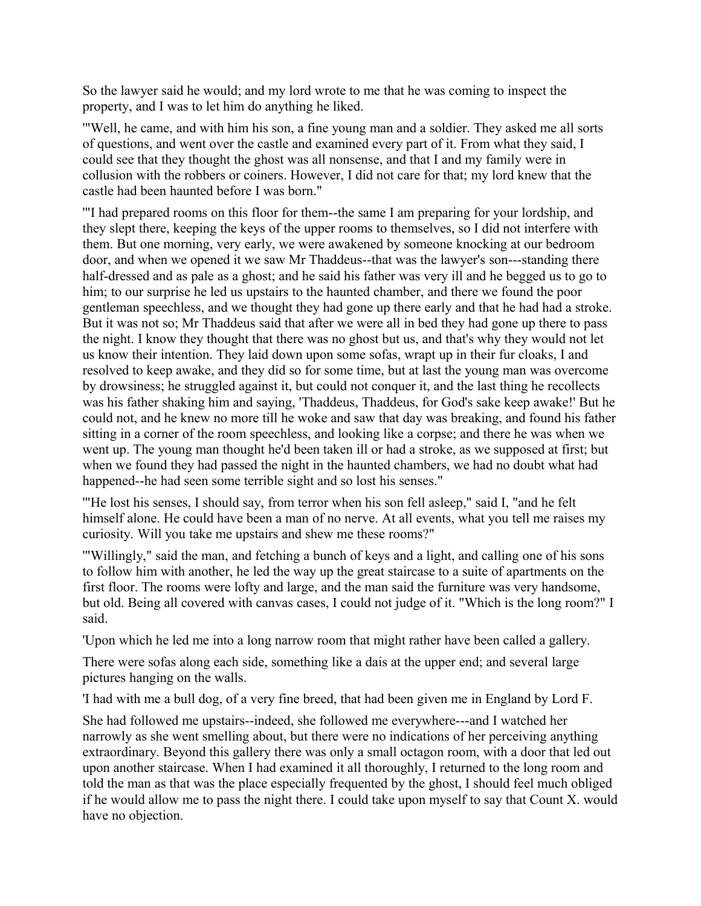So the lawyer said he would; and my lord wrote to me that he was coming to inspect the property, and I was to let him do anything he liked.

'"Well, he came, and with him his son, a fine young man and a soldier. They asked me all sorts of questions, and went over the castle and examined every part of it. From what they said, I could see that they thought the ghost was all nonsense, and that I and my family were in collusion with the robbers or coiners. However, I did not care for that; my lord knew that the castle had been haunted before I was born."

'"I had prepared rooms on this floor for them--the same I am preparing for your lordship, and they slept there, keeping the keys of the upper rooms to themselves, so I did not interfere with them. But one morning, very early, we were awakened by someone knocking at our bedroom door, and when we opened it we saw Mr Thaddeus--that was the lawyer's son---standing there half-dressed and as pale as a ghost; and he said his father was very ill and he begged us to go to him; to our surprise he led us upstairs to the haunted chamber, and there we found the poor gentleman speechless, and we thought they had gone up there early and that he had had a stroke. But it was not so; Mr Thaddeus said that after we were all in bed they had gone up there to pass the night. I know they thought that there was no ghost but us, and that's why they would not let us know their intention. They laid down upon some sofas, wrapt up in their fur cloaks, I and resolved to keep awake, and they did so for some time, but at last the young man was overcome by drowsiness; he struggled against it, but could not conquer it, and the last thing he recollects was his father shaking him and saying, 'Thaddeus, Thaddeus, for God's sake keep awake!' But he could not, and he knew no more till he woke and saw that day was breaking, and found his father sitting in a corner of the room speechless, and looking like a corpse; and there he was when we went up. The young man thought he'd been taken ill or had a stroke, as we supposed at first; but when we found they had passed the night in the haunted chambers, we had no doubt what had happened--he had seen some terrible sight and so lost his senses."

'"He lost his senses, I should say, from terror when his son fell asleep," said I, "and he felt himself alone. He could have been a man of no nerve. At all events, what you tell me raises my curiosity. Will you take me upstairs and shew me these rooms?"

'"Willingly," said the man, and fetching a bunch of keys and a light, and calling one of his sons to follow him with another, he led the way up the great staircase to a suite of apartments on the first floor. The rooms were lofty and large, and the man said the furniture was very handsome, but old. Being all covered with canvas cases, I could not judge of it. "Which is the long room?" I said.

'Upon which he led me into a long narrow room that might rather have been called a gallery.

There were sofas along each side, something like a dais at the upper end; and several large pictures hanging on the walls.

'I had with me a bull dog, of a very fine breed, that had been given me in England by Lord F.

She had followed me upstairs--indeed, she followed me everywhere---and I watched her narrowly as she went smelling about, but there were no indications of her perceiving anything extraordinary. Beyond this gallery there was only a small octagon room, with a door that led out upon another staircase. When I had examined it all thoroughly, I returned to the long room and told the man as that was the place especially frequented by the ghost, I should feel much obliged if he would allow me to pass the night there. I could take upon myself to say that Count X. would have no objection.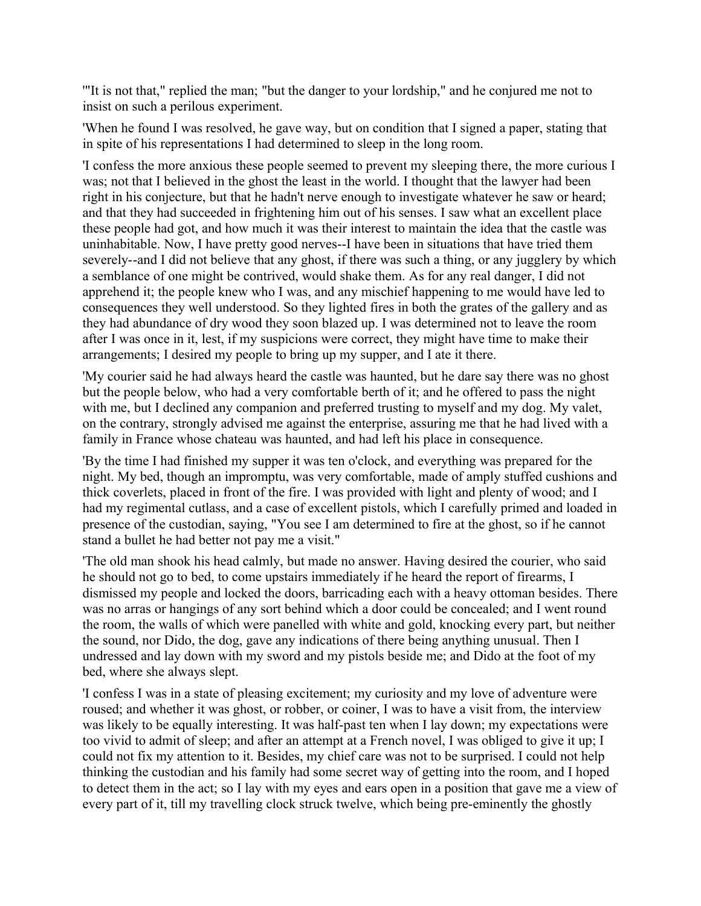'"It is not that," replied the man; "but the danger to your lordship," and he conjured me not to insist on such a perilous experiment.

'When he found I was resolved, he gave way, but on condition that I signed a paper, stating that in spite of his representations I had determined to sleep in the long room.

'I confess the more anxious these people seemed to prevent my sleeping there, the more curious I was; not that I believed in the ghost the least in the world. I thought that the lawyer had been right in his conjecture, but that he hadn't nerve enough to investigate whatever he saw or heard; and that they had succeeded in frightening him out of his senses. I saw what an excellent place these people had got, and how much it was their interest to maintain the idea that the castle was uninhabitable. Now, I have pretty good nerves--I have been in situations that have tried them severely--and I did not believe that any ghost, if there was such a thing, or any jugglery by which a semblance of one might be contrived, would shake them. As for any real danger, I did not apprehend it; the people knew who I was, and any mischief happening to me would have led to consequences they well understood. So they lighted fires in both the grates of the gallery and as they had abundance of dry wood they soon blazed up. I was determined not to leave the room after I was once in it, lest, if my suspicions were correct, they might have time to make their arrangements; I desired my people to bring up my supper, and I ate it there.

'My courier said he had always heard the castle was haunted, but he dare say there was no ghost but the people below, who had a very comfortable berth of it; and he offered to pass the night with me, but I declined any companion and preferred trusting to myself and my dog. My valet, on the contrary, strongly advised me against the enterprise, assuring me that he had lived with a family in France whose chateau was haunted, and had left his place in consequence.

'By the time I had finished my supper it was ten o'clock, and everything was prepared for the night. My bed, though an impromptu, was very comfortable, made of amply stuffed cushions and thick coverlets, placed in front of the fire. I was provided with light and plenty of wood; and I had my regimental cutlass, and a case of excellent pistols, which I carefully primed and loaded in presence of the custodian, saying, "You see I am determined to fire at the ghost, so if he cannot stand a bullet he had better not pay me a visit."

'The old man shook his head calmly, but made no answer. Having desired the courier, who said he should not go to bed, to come upstairs immediately if he heard the report of firearms, I dismissed my people and locked the doors, barricading each with a heavy ottoman besides. There was no arras or hangings of any sort behind which a door could be concealed; and I went round the room, the walls of which were panelled with white and gold, knocking every part, but neither the sound, nor Dido, the dog, gave any indications of there being anything unusual. Then I undressed and lay down with my sword and my pistols beside me; and Dido at the foot of my bed, where she always slept.

'I confess I was in a state of pleasing excitement; my curiosity and my love of adventure were roused; and whether it was ghost, or robber, or coiner, I was to have a visit from, the interview was likely to be equally interesting. It was half-past ten when I lay down; my expectations were too vivid to admit of sleep; and after an attempt at a French novel, I was obliged to give it up; I could not fix my attention to it. Besides, my chief care was not to be surprised. I could not help thinking the custodian and his family had some secret way of getting into the room, and I hoped to detect them in the act; so I lay with my eyes and ears open in a position that gave me a view of every part of it, till my travelling clock struck twelve, which being pre-eminently the ghostly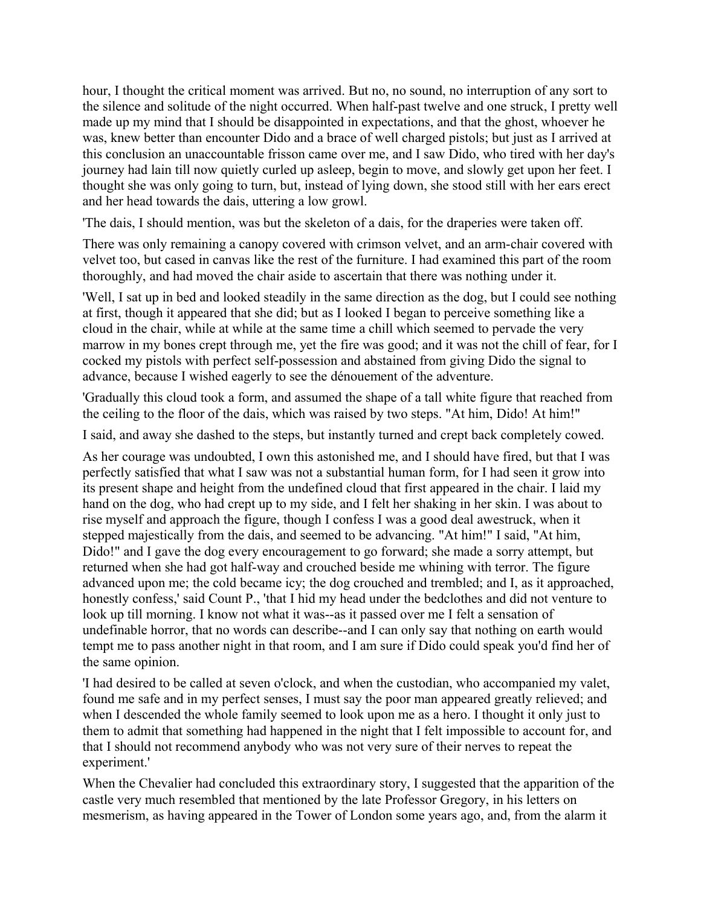hour, I thought the critical moment was arrived. But no, no sound, no interruption of any sort to the silence and solitude of the night occurred. When half-past twelve and one struck, I pretty well made up my mind that I should be disappointed in expectations, and that the ghost, whoever he was, knew better than encounter Dido and a brace of well charged pistols; but just as I arrived at this conclusion an unaccountable frisson came over me, and I saw Dido, who tired with her day's journey had lain till now quietly curled up asleep, begin to move, and slowly get upon her feet. I thought she was only going to turn, but, instead of lying down, she stood still with her ears erect and her head towards the dais, uttering a low growl.

'The dais, I should mention, was but the skeleton of a dais, for the draperies were taken off.

There was only remaining a canopy covered with crimson velvet, and an arm-chair covered with velvet too, but cased in canvas like the rest of the furniture. I had examined this part of the room thoroughly, and had moved the chair aside to ascertain that there was nothing under it.

'Well, I sat up in bed and looked steadily in the same direction as the dog, but I could see nothing at first, though it appeared that she did; but as I looked I began to perceive something like a cloud in the chair, while at while at the same time a chill which seemed to pervade the very marrow in my bones crept through me, yet the fire was good; and it was not the chill of fear, for I cocked my pistols with perfect self-possession and abstained from giving Dido the signal to advance, because I wished eagerly to see the dénouement of the adventure.

'Gradually this cloud took a form, and assumed the shape of a tall white figure that reached from the ceiling to the floor of the dais, which was raised by two steps. "At him, Dido! At him!"

I said, and away she dashed to the steps, but instantly turned and crept back completely cowed.

As her courage was undoubted, I own this astonished me, and I should have fired, but that I was perfectly satisfied that what I saw was not a substantial human form, for I had seen it grow into its present shape and height from the undefined cloud that first appeared in the chair. I laid my hand on the dog, who had crept up to my side, and I felt her shaking in her skin. I was about to rise myself and approach the figure, though I confess I was a good deal awestruck, when it stepped majestically from the dais, and seemed to be advancing. "At him!" I said, "At him, Dido!" and I gave the dog every encouragement to go forward; she made a sorry attempt, but returned when she had got half-way and crouched beside me whining with terror. The figure advanced upon me; the cold became icy; the dog crouched and trembled; and I, as it approached, honestly confess,' said Count P., 'that I hid my head under the bedclothes and did not venture to look up till morning. I know not what it was--as it passed over me I felt a sensation of undefinable horror, that no words can describe--and I can only say that nothing on earth would tempt me to pass another night in that room, and I am sure if Dido could speak you'd find her of the same opinion.

'I had desired to be called at seven o'clock, and when the custodian, who accompanied my valet, found me safe and in my perfect senses, I must say the poor man appeared greatly relieved; and when I descended the whole family seemed to look upon me as a hero. I thought it only just to them to admit that something had happened in the night that I felt impossible to account for, and that I should not recommend anybody who was not very sure of their nerves to repeat the experiment.'

When the Chevalier had concluded this extraordinary story, I suggested that the apparition of the castle very much resembled that mentioned by the late Professor Gregory, in his letters on mesmerism, as having appeared in the Tower of London some years ago, and, from the alarm it